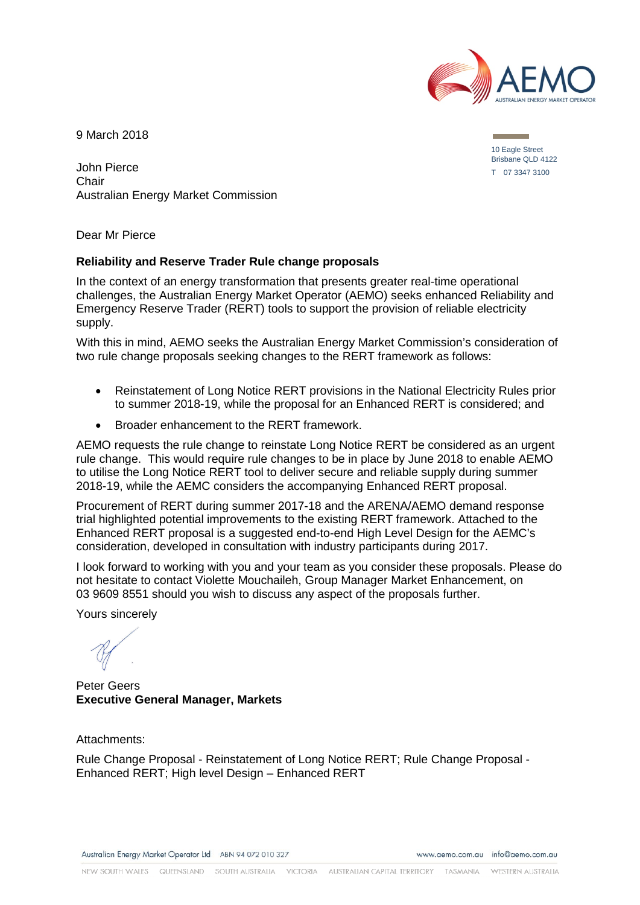

9 March 2018

John Pierce Chair Australian Energy Market Commission

Dear Mr Pierce

#### **Reliability and Reserve Trader Rule change proposals**

In the context of an energy transformation that presents greater real-time operational challenges, the Australian Energy Market Operator (AEMO) seeks enhanced Reliability and Emergency Reserve Trader (RERT) tools to support the provision of reliable electricity supply.

With this in mind, AEMO seeks the Australian Energy Market Commission's consideration of two rule change proposals seeking changes to the RERT framework as follows:

- Reinstatement of Long Notice RERT provisions in the National Electricity Rules prior to summer 2018-19, while the proposal for an Enhanced RERT is considered; and
- Broader enhancement to the RERT framework.

AEMO requests the rule change to reinstate Long Notice RERT be considered as an urgent rule change. This would require rule changes to be in place by June 2018 to enable AEMO to utilise the Long Notice RERT tool to deliver secure and reliable supply during summer 2018-19, while the AEMC considers the accompanying Enhanced RERT proposal.

Procurement of RERT during summer 2017-18 and the ARENA/AEMO demand response trial highlighted potential improvements to the existing RERT framework. Attached to the Enhanced RERT proposal is a suggested end-to-end High Level Design for the AEMC's consideration, developed in consultation with industry participants during 2017.

I look forward to working with you and your team as you consider these proposals. Please do not hesitate to contact Violette Mouchaileh, Group Manager Market Enhancement, on 03 9609 8551 should you wish to discuss any aspect of the proposals further.

Yours sincerely

Peter Geers **Executive General Manager, Markets**

Attachments:

Rule Change Proposal - Reinstatement of Long Notice RERT; Rule Change Proposal - Enhanced RERT; High level Design – Enhanced RERT

Australian Energy Market Operator Ltd ABN 94 072 010 327

www.gemo.com.gu info@gemo.com.gu

NEW SOUTH WALES QUEENSLAND SOUTH AUSTRALIA VICTORIA AUSTRALIAN CAPITAL TERRITORY TASMANIA WESTERN AUSTRALIA

10 Eagle Street Brisbane QLD 4122 T 07 3347 3100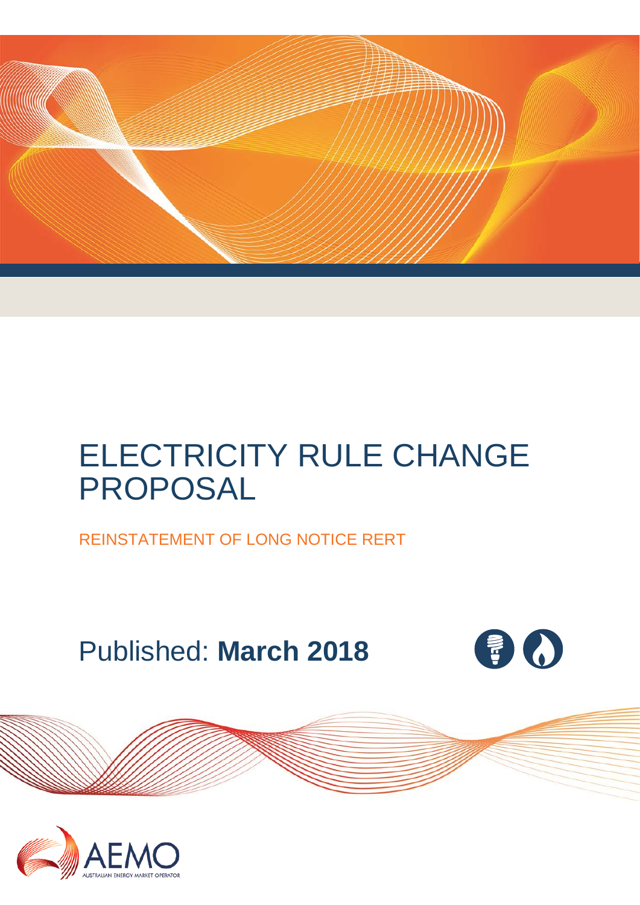

# ELECTRICITY RULE CHANGE PROPOSAL

REINSTATEMENT OF LONG NOTICE RERT

Published: **March 2018**



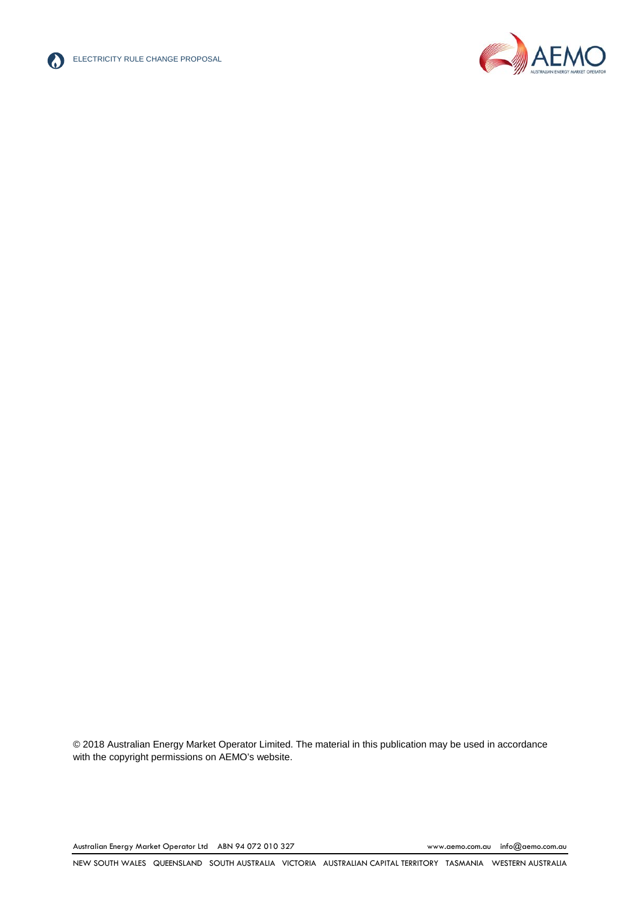



© 2018 Australian Energy Market Operator Limited. The material in this publication may be used in accordance with th[e copyright permissions on AEMO's website.](http://aemo.com.au/Privacy_and_Legal_Notices/Copyright_Permissions_Notice)

Australian Energy Market Operator Ltd ABN 94 072 010 327 [www.aemo.com.au](http://www.aemo.com.au/) [info@aemo.com.au](mailto:info@aemo.com.au)

NEW SOUTH WALES QUEENSLAND SOUTH AUSTRALIA VICTORIA AUSTRALIAN CAPITAL TERRITORY TASMANIA WESTERN AUSTRALIA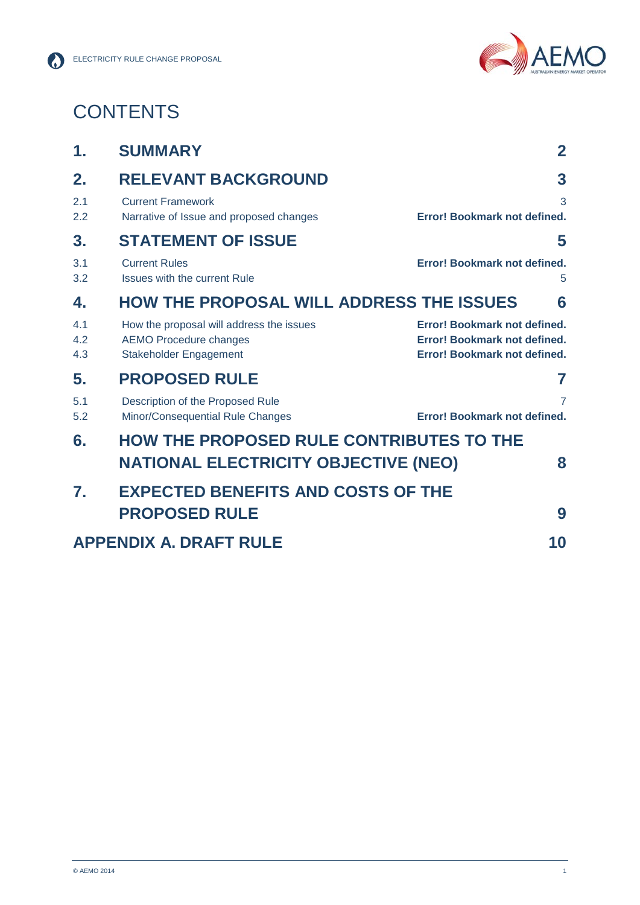

## **CONTENTS**

| 1.                                  | <b>SUMMARY</b>                                                                                      | $\mathbf{2}$                                                                                 |
|-------------------------------------|-----------------------------------------------------------------------------------------------------|----------------------------------------------------------------------------------------------|
| 2.                                  | <b>RELEVANT BACKGROUND</b>                                                                          | 3                                                                                            |
| 2.1<br>2.2                          | <b>Current Framework</b><br>Narrative of Issue and proposed changes                                 | 3<br>Error! Bookmark not defined.                                                            |
| 3.                                  | <b>STATEMENT OF ISSUE</b>                                                                           | 5                                                                                            |
| 3.1<br>3.2                          | <b>Current Rules</b><br><b>Issues with the current Rule</b>                                         | Error! Bookmark not defined.<br>5                                                            |
| 4.                                  | <b>HOW THE PROPOSAL WILL ADDRESS THE ISSUES</b><br>6                                                |                                                                                              |
| 4.1<br>4.2<br>4.3                   | How the proposal will address the issues<br><b>AEMO Procedure changes</b><br>Stakeholder Engagement | Error! Bookmark not defined.<br>Error! Bookmark not defined.<br>Error! Bookmark not defined. |
| 5.                                  | <b>PROPOSED RULE</b>                                                                                | 7                                                                                            |
| 5.1<br>5.2                          | Description of the Proposed Rule<br>Minor/Consequential Rule Changes                                | $\overline{7}$<br>Error! Bookmark not defined.                                               |
| 6.                                  | <b>HOW THE PROPOSED RULE CONTRIBUTES TO THE</b><br><b>NATIONAL ELECTRICITY OBJECTIVE (NEO)</b><br>8 |                                                                                              |
|                                     |                                                                                                     |                                                                                              |
| 7.                                  | <b>EXPECTED BENEFITS AND COSTS OF THE</b>                                                           |                                                                                              |
|                                     | <b>PROPOSED RULE</b>                                                                                | 9                                                                                            |
| <b>APPENDIX A. DRAFT RULE</b><br>10 |                                                                                                     |                                                                                              |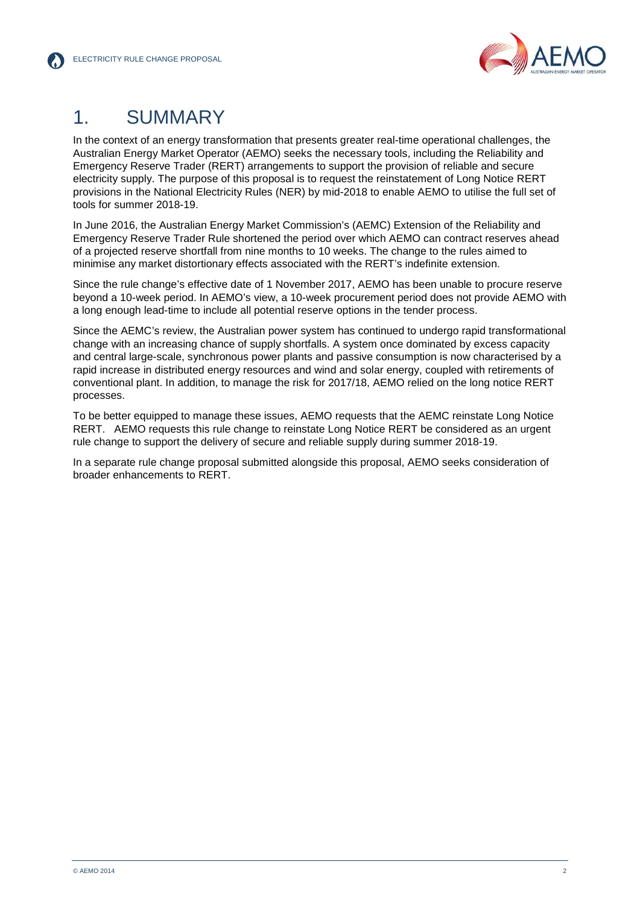

### <span id="page-4-0"></span>1. SUMMARY

In the context of an energy transformation that presents greater real-time operational challenges, the Australian Energy Market Operator (AEMO) seeks the necessary tools, including the Reliability and Emergency Reserve Trader (RERT) arrangements to support the provision of reliable and secure electricity supply. The purpose of this proposal is to request the reinstatement of Long Notice RERT provisions in the National Electricity Rules (NER) by mid-2018 to enable AEMO to utilise the full set of tools for summer 2018-19.

In June 2016, the Australian Energy Market Commission's (AEMC) Extension of the Reliability and Emergency Reserve Trader Rule shortened the period over which AEMO can contract reserves ahead of a projected reserve shortfall from nine months to 10 weeks. The change to the rules aimed to minimise any market distortionary effects associated with the RERT's indefinite extension.

Since the rule change's effective date of 1 November 2017, AEMO has been unable to procure reserve beyond a 10-week period. In AEMO's view, a 10-week procurement period does not provide AEMO with a long enough lead-time to include all potential reserve options in the tender process.

Since the AEMC's review, the Australian power system has continued to undergo rapid transformational change with an increasing chance of supply shortfalls. A system once dominated by excess capacity and central large-scale, synchronous power plants and passive consumption is now characterised by a rapid increase in distributed energy resources and wind and solar energy, coupled with retirements of conventional plant. In addition, to manage the risk for 2017/18, AEMO relied on the long notice RERT processes.

To be better equipped to manage these issues, AEMO requests that the AEMC reinstate Long Notice RERT. AEMO requests this rule change to reinstate Long Notice RERT be considered as an urgent rule change to support the delivery of secure and reliable supply during summer 2018-19.

In a separate rule change proposal submitted alongside this proposal, AEMO seeks consideration of broader enhancements to RERT.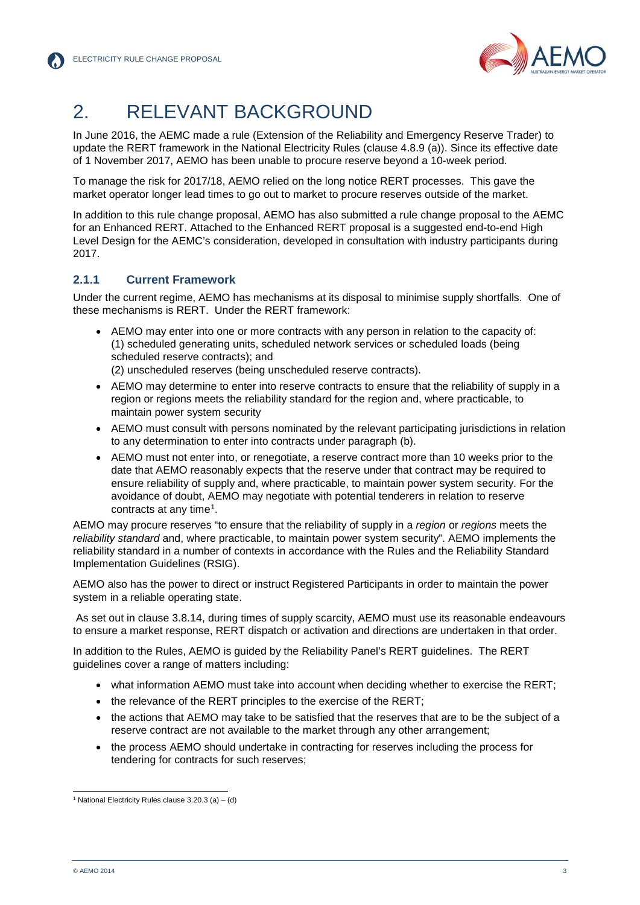

### <span id="page-5-0"></span>2. RELEVANT BACKGROUND

<span id="page-5-1"></span>In June 2016, the AEMC made a rule (Extension of the Reliability and Emergency Reserve Trader) to update the RERT framework in the National Electricity Rules (clause 4.8.9 (a)). Since its effective date of 1 November 2017, AEMO has been unable to procure reserve beyond a 10-week period.

To manage the risk for 2017/18, AEMO relied on the long notice RERT processes. This gave the market operator longer lead times to go out to market to procure reserves outside of the market.

In addition to this rule change proposal, AEMO has also submitted a rule change proposal to the AEMC for an Enhanced RERT. Attached to the Enhanced RERT proposal is a suggested end-to-end High Level Design for the AEMC's consideration, developed in consultation with industry participants during 2017.

#### **2.1.1 Current Framework**

Under the current regime, AEMO has mechanisms at its disposal to minimise supply shortfalls. One of these mechanisms is RERT. Under the RERT framework:

• AEMO may enter into one or more contracts with any person in relation to the capacity of: (1) scheduled generating units, scheduled network services or scheduled loads (being scheduled reserve contracts); and

(2) unscheduled reserves (being unscheduled reserve contracts).

- AEMO may determine to enter into reserve contracts to ensure that the reliability of supply in a region or regions meets the reliability standard for the region and, where practicable, to maintain power system security
- AEMO must consult with persons nominated by the relevant participating jurisdictions in relation to any determination to enter into contracts under paragraph (b).
- AEMO must not enter into, or renegotiate, a reserve contract more than 10 weeks prior to the date that AEMO reasonably expects that the reserve under that contract may be required to ensure reliability of supply and, where practicable, to maintain power system security. For the avoidance of doubt, AEMO may negotiate with potential tenderers in relation to reserve contracts at any time[1.](#page-5-2)

AEMO may procure reserves "to ensure that the reliability of supply in a *region* or *regions* meets the *reliability standard* and, where practicable, to maintain power system security". AEMO implements the reliability standard in a number of contexts in accordance with the Rules and the Reliability Standard Implementation Guidelines (RSIG).

AEMO also has the power to direct or instruct Registered Participants in order to maintain the power system in a reliable operating state.

As set out in clause 3.8.14, during times of supply scarcity, AEMO must use its reasonable endeavours to ensure a market response, RERT dispatch or activation and directions are undertaken in that order.

In addition to the Rules, AEMO is guided by the Reliability Panel's RERT guidelines. The RERT guidelines cover a range of matters including:

- what information AEMO must take into account when deciding whether to exercise the RERT;
- the relevance of the RERT principles to the exercise of the RERT;
- the actions that AEMO may take to be satisfied that the reserves that are to be the subject of a reserve contract are not available to the market through any other arrangement;
- the process AEMO should undertake in contracting for reserves including the process for tendering for contracts for such reserves;

<span id="page-5-2"></span><sup>&</sup>lt;sup>1</sup> National Electricity Rules clause  $3.20.3$  (a) – (d)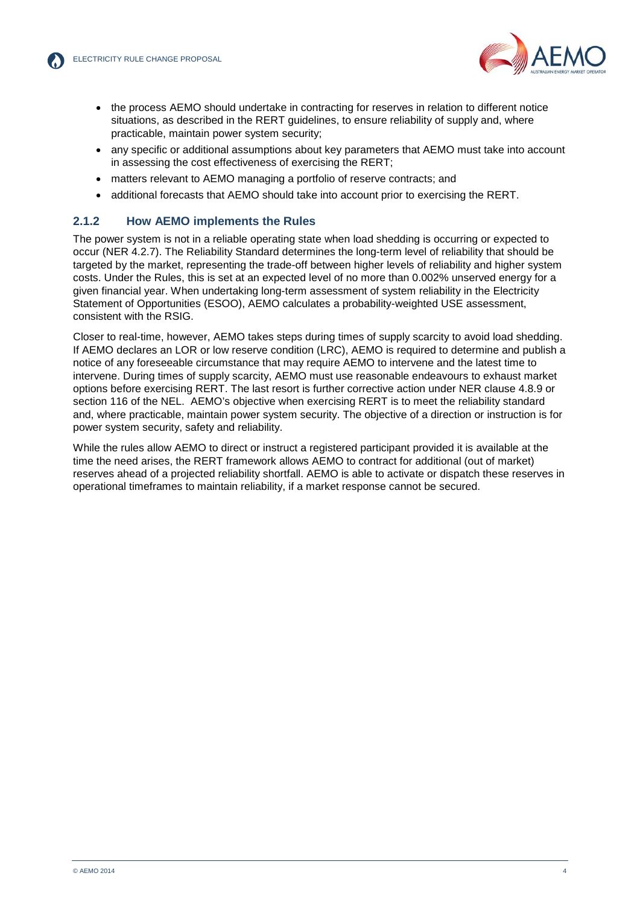

- the process AEMO should undertake in contracting for reserves in relation to different notice situations, as described in the RERT guidelines, to ensure reliability of supply and, where practicable, maintain power system security;
- any specific or additional assumptions about key parameters that AEMO must take into account in assessing the cost effectiveness of exercising the RERT;
- matters relevant to AEMO managing a portfolio of reserve contracts; and
- additional forecasts that AEMO should take into account prior to exercising the RERT.

#### **2.1.2 How AEMO implements the Rules**

The power system is not in a reliable operating state when load shedding is occurring or expected to occur (NER 4.2.7). The Reliability Standard determines the long-term level of reliability that should be targeted by the market, representing the trade-off between higher levels of reliability and higher system costs. Under the Rules, this is set at an expected level of no more than 0.002% unserved energy for a given financial year. When undertaking long-term assessment of system reliability in the Electricity Statement of Opportunities (ESOO), AEMO calculates a probability-weighted USE assessment, consistent with the RSIG.

Closer to real-time, however, AEMO takes steps during times of supply scarcity to avoid load shedding. If AEMO declares an LOR or low reserve condition (LRC), AEMO is required to determine and publish a notice of any foreseeable circumstance that may require AEMO to intervene and the latest time to intervene. During times of supply scarcity, AEMO must use reasonable endeavours to exhaust market options before exercising RERT. The last resort is further corrective action under NER clause 4.8.9 or section 116 of the NEL. AEMO's objective when exercising RERT is to meet the reliability standard and, where practicable, maintain power system security. The objective of a direction or instruction is for power system security, safety and reliability.

While the rules allow AEMO to direct or instruct a registered participant provided it is available at the time the need arises, the RERT framework allows AEMO to contract for additional (out of market) reserves ahead of a projected reliability shortfall. AEMO is able to activate or dispatch these reserves in operational timeframes to maintain reliability, if a market response cannot be secured.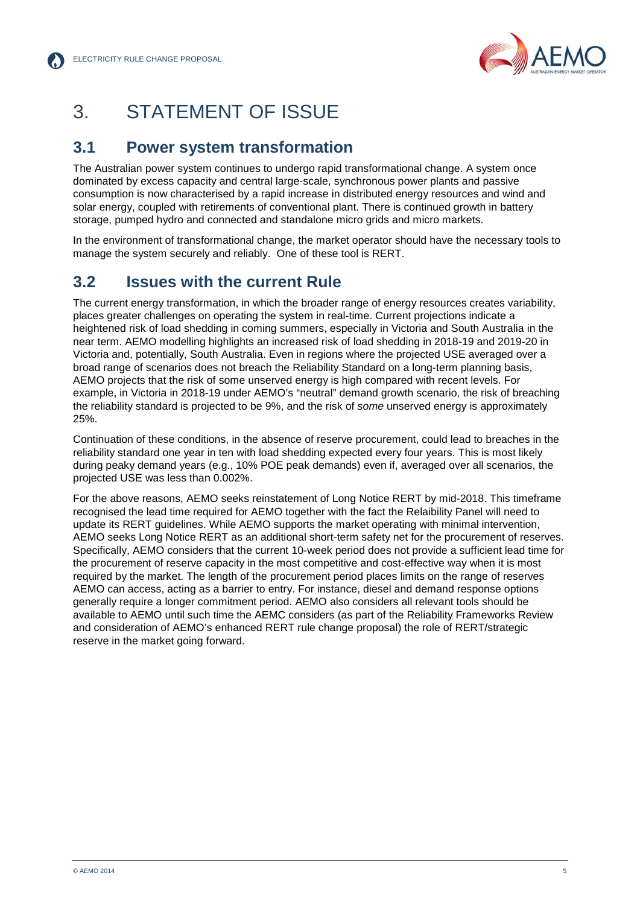

### <span id="page-7-0"></span>3. STATEMENT OF ISSUE

#### <span id="page-7-1"></span>**3.1 Power system transformation**

The Australian power system continues to undergo rapid transformational change. A system once dominated by excess capacity and central large-scale, synchronous power plants and passive consumption is now characterised by a rapid increase in distributed energy resources and wind and solar energy, coupled with retirements of conventional plant. There is continued growth in battery storage, pumped hydro and connected and standalone micro grids and micro markets.

In the environment of transformational change, the market operator should have the necessary tools to manage the system securely and reliably. One of these tool is RERT.

#### **3.2 Issues with the current Rule**

The current energy transformation, in which the broader range of energy resources creates variability, places greater challenges on operating the system in real-time. Current projections indicate a heightened risk of load shedding in coming summers, especially in Victoria and South Australia in the near term. AEMO modelling highlights an increased risk of load shedding in 2018-19 and 2019-20 in Victoria and, potentially, South Australia. Even in regions where the projected USE averaged over a broad range of scenarios does not breach the Reliability Standard on a long-term planning basis, AEMO projects that the risk of some unserved energy is high compared with recent levels. For example, in Victoria in 2018-19 under AEMO's "neutral" demand growth scenario, the risk of breaching the reliability standard is projected to be 9%, and the risk of *some* unserved energy is approximately 25%.

Continuation of these conditions, in the absence of reserve procurement, could lead to breaches in the reliability standard one year in ten with load shedding expected every four years. This is most likely during peaky demand years (e.g., 10% POE peak demands) even if, averaged over all scenarios, the projected USE was less than 0.002%.

For the above reasons, AEMO seeks reinstatement of Long Notice RERT by mid-2018. This timeframe recognised the lead time required for AEMO together with the fact the Relaibility Panel will need to update its RERT guidelines. While AEMO supports the market operating with minimal intervention, AEMO seeks Long Notice RERT as an additional short-term safety net for the procurement of reserves. Specifically, AEMO considers that the current 10-week period does not provide a sufficient lead time for the procurement of reserve capacity in the most competitive and cost-effective way when it is most required by the market. The length of the procurement period places limits on the range of reserves AEMO can access, acting as a barrier to entry. For instance, diesel and demand response options generally require a longer commitment period. AEMO also considers all relevant tools should be available to AEMO until such time the AEMC considers (as part of the Reliability Frameworks Review and consideration of AEMO's enhanced RERT rule change proposal) the role of RERT/strategic reserve in the market going forward.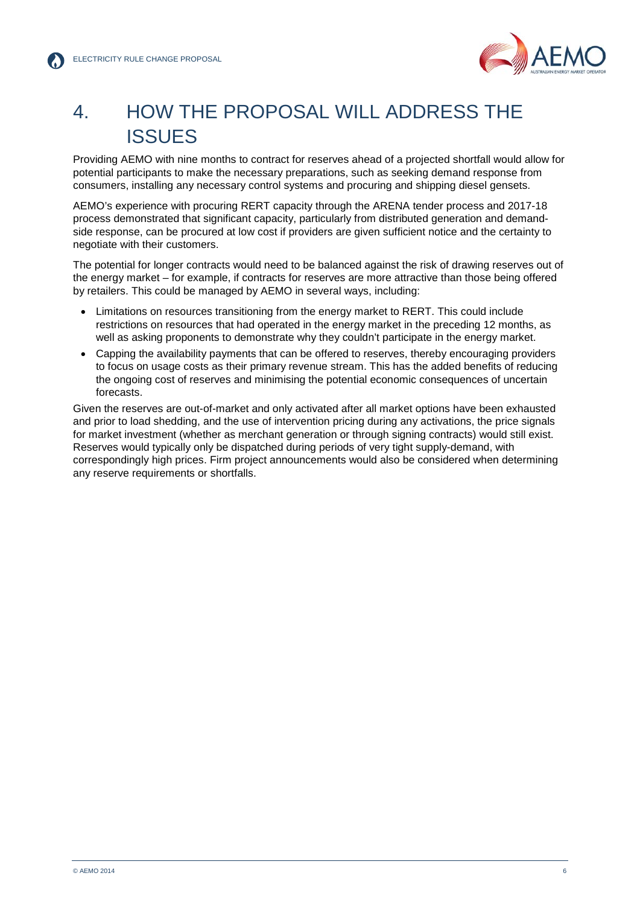

### <span id="page-8-0"></span>4. HOW THE PROPOSAL WILL ADDRESS THE ISSUES

Providing AEMO with nine months to contract for reserves ahead of a projected shortfall would allow for potential participants to make the necessary preparations, such as seeking demand response from consumers, installing any necessary control systems and procuring and shipping diesel gensets.

AEMO's experience with procuring RERT capacity through the ARENA tender process and 2017-18 process demonstrated that significant capacity, particularly from distributed generation and demandside response, can be procured at low cost if providers are given sufficient notice and the certainty to negotiate with their customers.

The potential for longer contracts would need to be balanced against the risk of drawing reserves out of the energy market – for example, if contracts for reserves are more attractive than those being offered by retailers. This could be managed by AEMO in several ways, including:

- Limitations on resources transitioning from the energy market to RERT. This could include restrictions on resources that had operated in the energy market in the preceding 12 months, as well as asking proponents to demonstrate why they couldn't participate in the energy market.
- Capping the availability payments that can be offered to reserves, thereby encouraging providers to focus on usage costs as their primary revenue stream. This has the added benefits of reducing the ongoing cost of reserves and minimising the potential economic consequences of uncertain forecasts.

Given the reserves are out-of-market and only activated after all market options have been exhausted and prior to load shedding, and the use of intervention pricing during any activations, the price signals for market investment (whether as merchant generation or through signing contracts) would still exist. Reserves would typically only be dispatched during periods of very tight supply-demand, with correspondingly high prices. Firm project announcements would also be considered when determining any reserve requirements or shortfalls.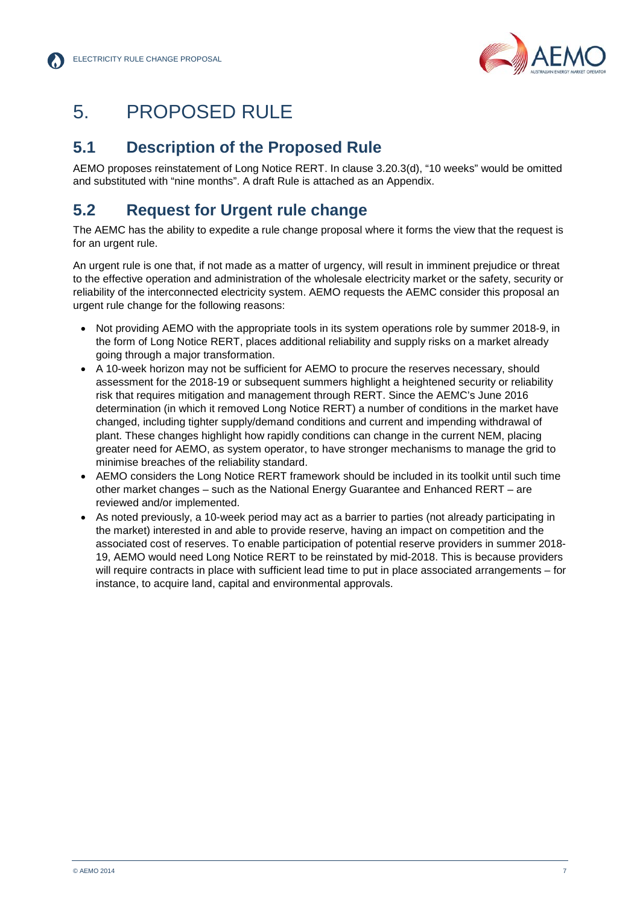

### <span id="page-9-0"></span>5. PROPOSED RULE

### <span id="page-9-1"></span>**5.1 Description of the Proposed Rule**

AEMO proposes reinstatement of Long Notice RERT. In clause 3.20.3(d), "10 weeks" would be omitted and substituted with "nine months". A draft Rule is attached as an Appendix.

### **5.2 Request for Urgent rule change**

The AEMC has the ability to expedite a rule change proposal where it forms the view that the request is for an urgent rule.

An urgent rule is one that, if not made as a matter of urgency, will result in imminent prejudice or threat to the effective operation and administration of the wholesale electricity market or the safety, security or reliability of the interconnected electricity system. AEMO requests the AEMC consider this proposal an urgent rule change for the following reasons:

- Not providing AEMO with the appropriate tools in its system operations role by summer 2018-9, in the form of Long Notice RERT, places additional reliability and supply risks on a market already going through a major transformation.
- A 10-week horizon may not be sufficient for AEMO to procure the reserves necessary, should assessment for the 2018-19 or subsequent summers highlight a heightened security or reliability risk that requires mitigation and management through RERT. Since the AEMC's June 2016 determination (in which it removed Long Notice RERT) a number of conditions in the market have changed, including tighter supply/demand conditions and current and impending withdrawal of plant. These changes highlight how rapidly conditions can change in the current NEM, placing greater need for AEMO, as system operator, to have stronger mechanisms to manage the grid to minimise breaches of the reliability standard.
- AEMO considers the Long Notice RERT framework should be included in its toolkit until such time other market changes – such as the National Energy Guarantee and Enhanced RERT – are reviewed and/or implemented.
- As noted previously, a 10-week period may act as a barrier to parties (not already participating in the market) interested in and able to provide reserve, having an impact on competition and the associated cost of reserves. To enable participation of potential reserve providers in summer 2018- 19, AEMO would need Long Notice RERT to be reinstated by mid-2018. This is because providers will require contracts in place with sufficient lead time to put in place associated arrangements – for instance, to acquire land, capital and environmental approvals.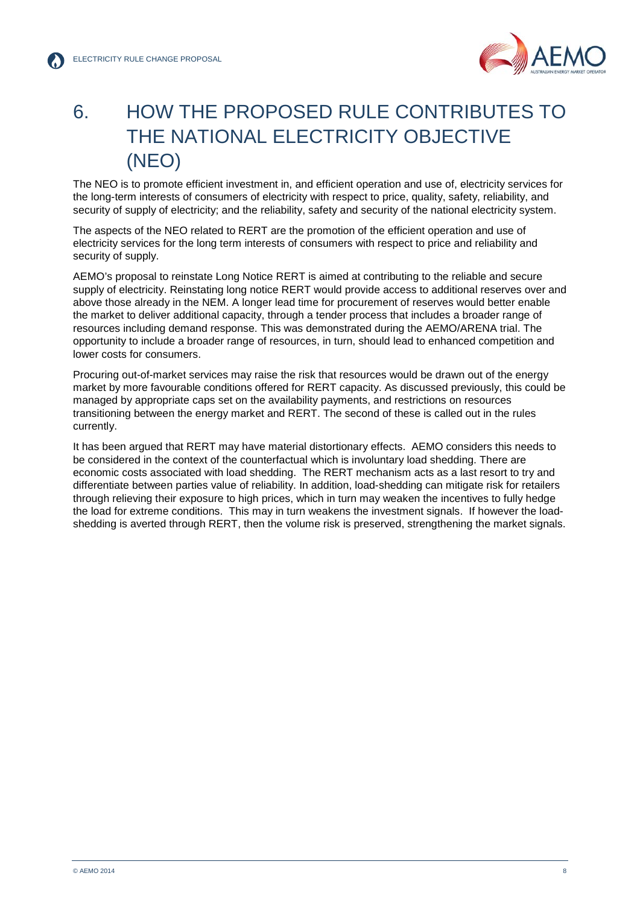

### <span id="page-10-0"></span>6. HOW THE PROPOSED RULE CONTRIBUTES TO THE NATIONAL ELECTRICITY OBJECTIVE (NEO)

The NEO is to promote efficient investment in, and efficient operation and use of, electricity services for the long-term interests of consumers of electricity with respect to price, quality, safety, reliability, and security of supply of electricity; and the reliability, safety and security of the national electricity system.

The aspects of the NEO related to RERT are the promotion of the efficient operation and use of electricity services for the long term interests of consumers with respect to price and reliability and security of supply.

AEMO's proposal to reinstate Long Notice RERT is aimed at contributing to the reliable and secure supply of electricity. Reinstating long notice RERT would provide access to additional reserves over and above those already in the NEM. A longer lead time for procurement of reserves would better enable the market to deliver additional capacity, through a tender process that includes a broader range of resources including demand response. This was demonstrated during the AEMO/ARENA trial. The opportunity to include a broader range of resources, in turn, should lead to enhanced competition and lower costs for consumers.

Procuring out-of-market services may raise the risk that resources would be drawn out of the energy market by more favourable conditions offered for RERT capacity. As discussed previously, this could be managed by appropriate caps set on the availability payments, and restrictions on resources transitioning between the energy market and RERT. The second of these is called out in the rules currently.

It has been argued that RERT may have material distortionary effects. AEMO considers this needs to be considered in the context of the counterfactual which is involuntary load shedding. There are economic costs associated with load shedding. The RERT mechanism acts as a last resort to try and differentiate between parties value of reliability. In addition, load-shedding can mitigate risk for retailers through relieving their exposure to high prices, which in turn may weaken the incentives to fully hedge the load for extreme conditions. This may in turn weakens the investment signals. If however the loadshedding is averted through RERT, then the volume risk is preserved, strengthening the market signals.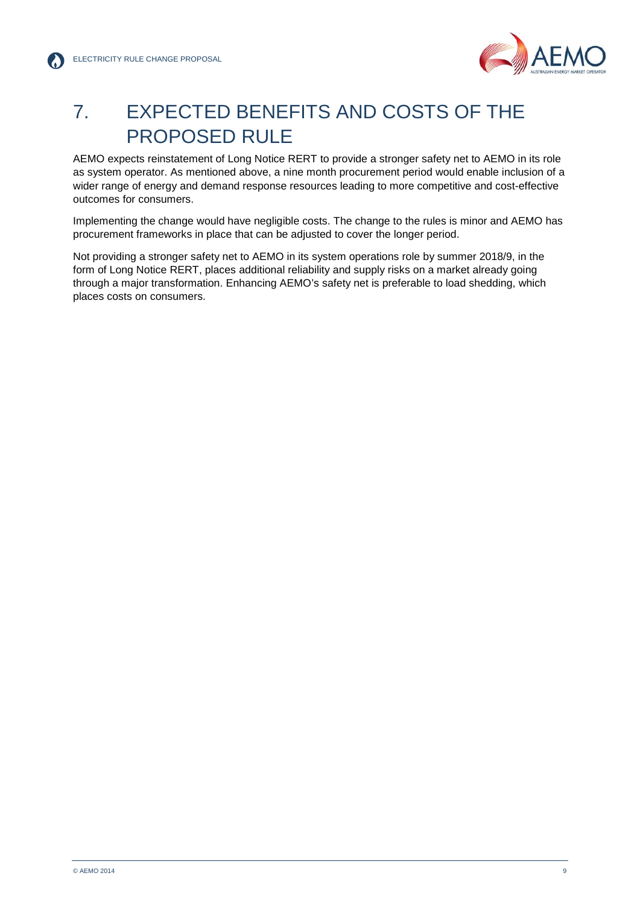

### <span id="page-11-0"></span>7. EXPECTED BENEFITS AND COSTS OF THE PROPOSED RULE

AEMO expects reinstatement of Long Notice RERT to provide a stronger safety net to AEMO in its role as system operator. As mentioned above, a nine month procurement period would enable inclusion of a wider range of energy and demand response resources leading to more competitive and cost-effective outcomes for consumers.

Implementing the change would have negligible costs. The change to the rules is minor and AEMO has procurement frameworks in place that can be adjusted to cover the longer period.

Not providing a stronger safety net to AEMO in its system operations role by summer 2018/9, in the form of Long Notice RERT, places additional reliability and supply risks on a market already going through a major transformation. Enhancing AEMO's safety net is preferable to load shedding, which places costs on consumers.